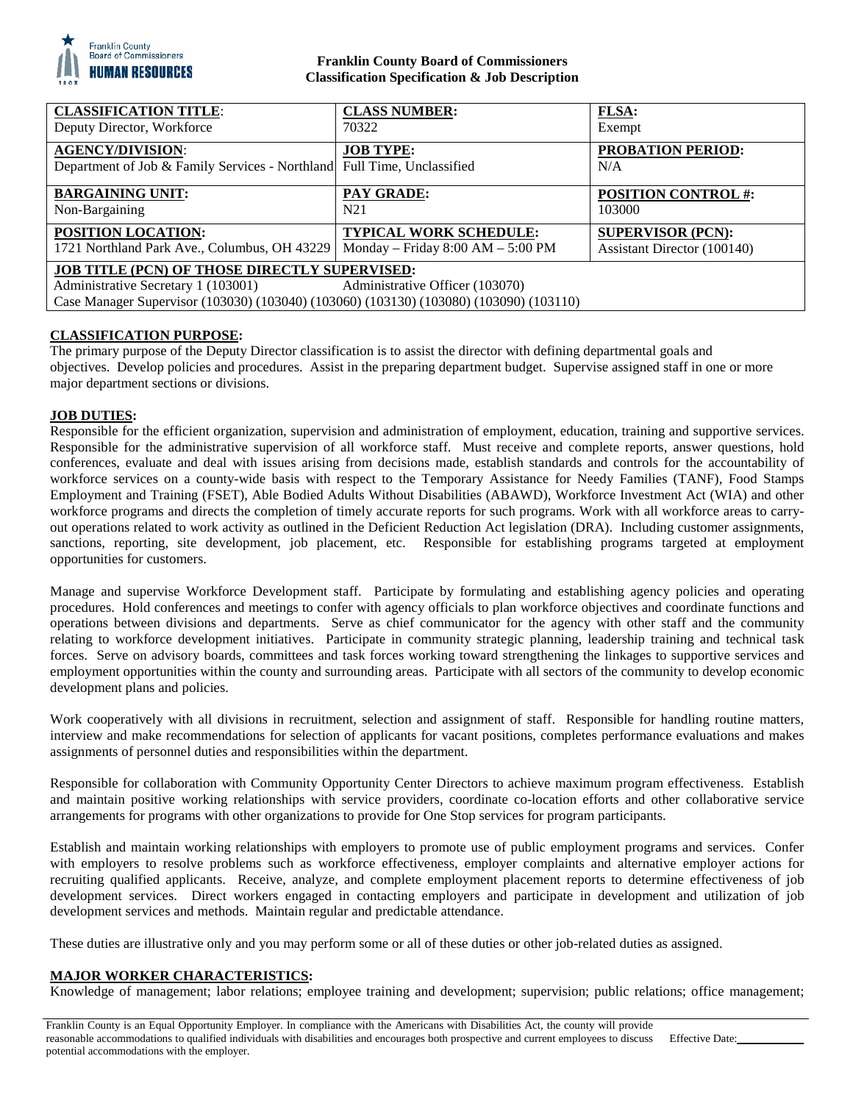

# **Franklin County Board of Commissioners Classification Specification & Job Description**

| <b>CLASSIFICATION TITLE:</b><br>Deputy Director, Workforce                             | <b>CLASS NUMBER:</b><br>70322         | <b>FLSA:</b><br>Exempt      |
|----------------------------------------------------------------------------------------|---------------------------------------|-----------------------------|
| <b>AGENCY/DIVISION:</b>                                                                | <b>JOB TYPE:</b>                      | <b>PROBATION PERIOD:</b>    |
| Department of Job & Family Services - Northland Full Time, Unclassified                |                                       | N/A                         |
| <b>BARGAINING UNIT:</b>                                                                | <b>PAY GRADE:</b>                     | <b>POSITION CONTROL #:</b>  |
| Non-Bargaining                                                                         | N <sub>21</sub>                       | 103000                      |
| POSITION LOCATION:                                                                     | <b>TYPICAL WORK SCHEDULE:</b>         | <b>SUPERVISOR (PCN):</b>    |
| 1721 Northland Park Ave., Columbus, OH 43229                                           | Monday – Friday $8:00$ AM – $5:00$ PM | Assistant Director (100140) |
| <b>JOB TITLE (PCN) OF THOSE DIRECTLY SUPERVISED:</b>                                   |                                       |                             |
| Administrative Secretary 1 (103001)                                                    | Administrative Officer (103070)       |                             |
| Case Manager Supervisor (103030) (103040) (103060) (103130) (103080) (103090) (103110) |                                       |                             |

# **CLASSIFICATION PURPOSE:**

The primary purpose of the Deputy Director classification is to assist the director with defining departmental goals and objectives. Develop policies and procedures. Assist in the preparing department budget. Supervise assigned staff in one or more major department sections or divisions.

## **JOB DUTIES:**

Responsible for the efficient organization, supervision and administration of employment, education, training and supportive services. Responsible for the administrative supervision of all workforce staff. Must receive and complete reports, answer questions, hold conferences, evaluate and deal with issues arising from decisions made, establish standards and controls for the accountability of workforce services on a county-wide basis with respect to the Temporary Assistance for Needy Families (TANF), Food Stamps Employment and Training (FSET), Able Bodied Adults Without Disabilities (ABAWD), Workforce Investment Act (WIA) and other workforce programs and directs the completion of timely accurate reports for such programs. Work with all workforce areas to carryout operations related to work activity as outlined in the Deficient Reduction Act legislation (DRA). Including customer assignments, sanctions, reporting, site development, job placement, etc. Responsible for establishing programs targeted at employment opportunities for customers.

Manage and supervise Workforce Development staff. Participate by formulating and establishing agency policies and operating procedures. Hold conferences and meetings to confer with agency officials to plan workforce objectives and coordinate functions and operations between divisions and departments. Serve as chief communicator for the agency with other staff and the community relating to workforce development initiatives. Participate in community strategic planning, leadership training and technical task forces. Serve on advisory boards, committees and task forces working toward strengthening the linkages to supportive services and employment opportunities within the county and surrounding areas. Participate with all sectors of the community to develop economic development plans and policies.

Work cooperatively with all divisions in recruitment, selection and assignment of staff. Responsible for handling routine matters, interview and make recommendations for selection of applicants for vacant positions, completes performance evaluations and makes assignments of personnel duties and responsibilities within the department.

Responsible for collaboration with Community Opportunity Center Directors to achieve maximum program effectiveness. Establish and maintain positive working relationships with service providers, coordinate co-location efforts and other collaborative service arrangements for programs with other organizations to provide for One Stop services for program participants.

Establish and maintain working relationships with employers to promote use of public employment programs and services. Confer with employers to resolve problems such as workforce effectiveness, employer complaints and alternative employer actions for recruiting qualified applicants. Receive, analyze, and complete employment placement reports to determine effectiveness of job development services. Direct workers engaged in contacting employers and participate in development and utilization of job development services and methods. Maintain regular and predictable attendance.

These duties are illustrative only and you may perform some or all of these duties or other job-related duties as assigned.

## **MAJOR WORKER CHARACTERISTICS:**

Knowledge of management; labor relations; employee training and development; supervision; public relations; office management;